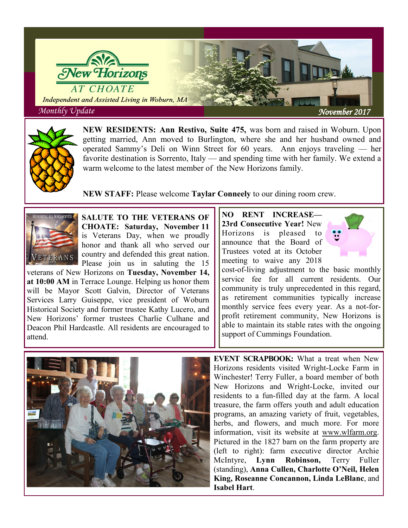



**NEW RESIDENTS: Ann Restivo, Suite 475,** was born and raised in Woburn. Upon getting married, Ann moved to Burlington, where she and her husband owned and operated Sammy's Deli on Winn Street for 60 years. Ann enjoys traveling — her favorite destination is Sorrento, Italy — and spending time with her family. We extend a warm welcome to the latest member of the New Horizons family.

**NEW STAFF:** Please welcome **Taylar Conneely** to our dining room crew.



**SALUTE TO THE VETERANS OF CHOATE: Saturday, November 11**  is Veterans Day, when we proudly honor and thank all who served our country and defended this great nation. Please join us in saluting the 15

veterans of New Horizons on **Tuesday, November 14, at 10:00 AM** in Terrace Lounge. Helping us honor them will be Mayor Scott Galvin, Director of Veterans Services Larry Guiseppe, vice president of Woburn Historical Society and former trustee Kathy Lucero, and New Horizons' former trustees Charlie Culhane and Deacon Phil Hardcastle. All residents are encouraged to attend.

**NO RENT INCREASE— 23rd Consecutive Year!** New Horizons is pleased to announce that the Board of Trustees voted at its October meeting to waive any 2018



cost-of-living adjustment to the basic monthly service fee for all current residents. Our community is truly unprecedented in this regard, as retirement communities typically increase monthly service fees every year. As a not-forprofit retirement community, New Horizons is able to maintain its stable rates with the ongoing support of Cummings Foundation.



**EVENT SCRAPBOOK:** What a treat when New Horizons residents visited Wright-Locke Farm in Winchester! Terry Fuller, a board member of both New Horizons and Wright-Locke, invited our residents to a fun-filled day at the farm. A local treasure, the farm offers youth and adult education programs, an amazing variety of fruit, vegetables, herbs, and flowers, and much more. For more information, visit its website at [www.wlfarm.org.](http://www.wlfarm.org) Pictured in the 1827 barn on the farm property are (left to right): farm executive director Archie McIntyre, **Lynn Robinson,** Terry Fuller (standing), **Anna Cullen, Charlotte O'Neil, Helen King, Roseanne Concannon, Linda LeBlanc**, and **Isabel Hart**.